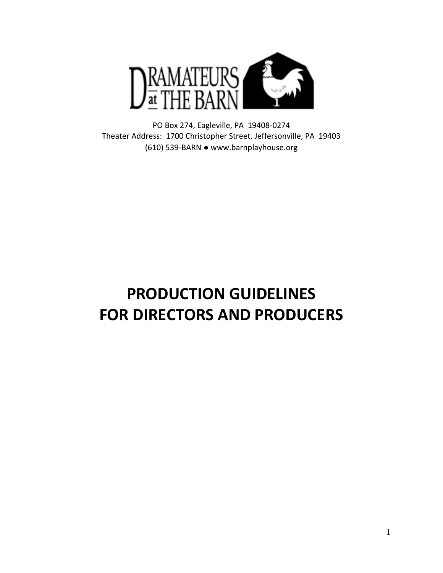

PO Box 274, Eagleville, PA 19408-0274 Theater Address: 1700 Christopher Street, Jeffersonville, PA 19403 (610) 539-BARN ● www.barnplayhouse.org

# **PRODUCTION GUIDELINES FOR DIRECTORS AND PRODUCERS**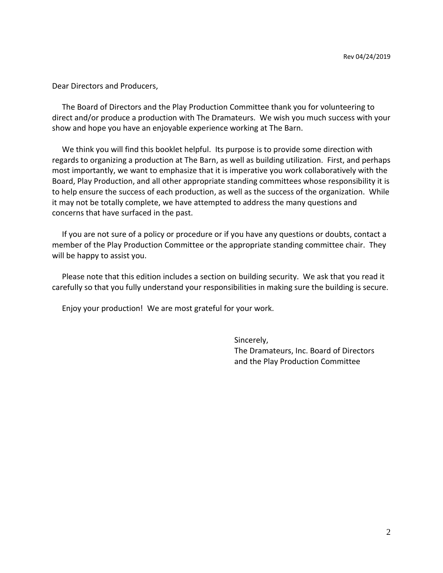Dear Directors and Producers,

 The Board of Directors and the Play Production Committee thank you for volunteering to direct and/or produce a production with The Dramateurs. We wish you much success with your show and hope you have an enjoyable experience working at The Barn.

 We think you will find this booklet helpful. Its purpose is to provide some direction with regards to organizing a production at The Barn, as well as building utilization. First, and perhaps most importantly, we want to emphasize that it is imperative you work collaboratively with the Board, Play Production, and all other appropriate standing committees whose responsibility it is to help ensure the success of each production, as well as the success of the organization. While it may not be totally complete, we have attempted to address the many questions and concerns that have surfaced in the past.

 If you are not sure of a policy or procedure or if you have any questions or doubts, contact a member of the Play Production Committee or the appropriate standing committee chair. They will be happy to assist you.

 Please note that this edition includes a section on building security. We ask that you read it carefully so that you fully understand your responsibilities in making sure the building is secure.

Enjoy your production! We are most grateful for your work.

Sincerely, The Dramateurs, Inc. Board of Directors and the Play Production Committee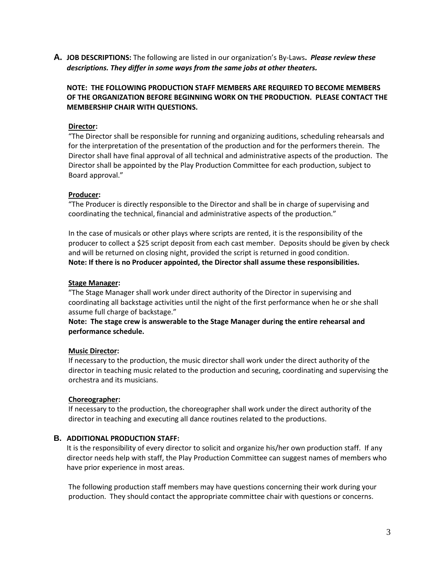**A. JOB DESCRIPTIONS:** The following are listed in our organization's By-Laws**.** *Please review these descriptions. They differ in some ways from the same jobs at other theaters.*

**NOTE: THE FOLLOWING PRODUCTION STAFF MEMBERS ARE REQUIRED TO BECOME MEMBERS OF THE ORGANIZATION BEFORE BEGINNING WORK ON THE PRODUCTION. PLEASE CONTACT THE MEMBERSHIP CHAIR WITH QUESTIONS.** 

### **Director:**

"The Director shall be responsible for running and organizing auditions, scheduling rehearsals and for the interpretation of the presentation of the production and for the performers therein. The Director shall have final approval of all technical and administrative aspects of the production. The Director shall be appointed by the Play Production Committee for each production, subject to Board approval."

#### **Producer:**

"The Producer is directly responsible to the Director and shall be in charge of supervising and coordinating the technical, financial and administrative aspects of the production."

In the case of musicals or other plays where scripts are rented, it is the responsibility of the producer to collect a \$25 script deposit from each cast member. Deposits should be given by check and will be returned on closing night, provided the script is returned in good condition. **Note: If there is no Producer appointed, the Director shall assume these responsibilities.**

#### **Stage Manager:**

"The Stage Manager shall work under direct authority of the Director in supervising and coordinating all backstage activities until the night of the first performance when he or she shall assume full charge of backstage."

# **Note: The stage crew is answerable to the Stage Manager during the entire rehearsal and performance schedule.**

#### **Music Director:**

If necessary to the production, the music director shall work under the direct authority of the director in teaching music related to the production and securing, coordinating and supervising the orchestra and its musicians.

#### **Choreographer:**

If necessary to the production, the choreographer shall work under the direct authority of the director in teaching and executing all dance routines related to the productions.

#### **B. ADDITIONAL PRODUCTION STAFF:**

It is the responsibility of every director to solicit and organize his/her own production staff. If any director needs help with staff, the Play Production Committee can suggest names of members who have prior experience in most areas.

The following production staff members may have questions concerning their work during your production. They should contact the appropriate committee chair with questions or concerns.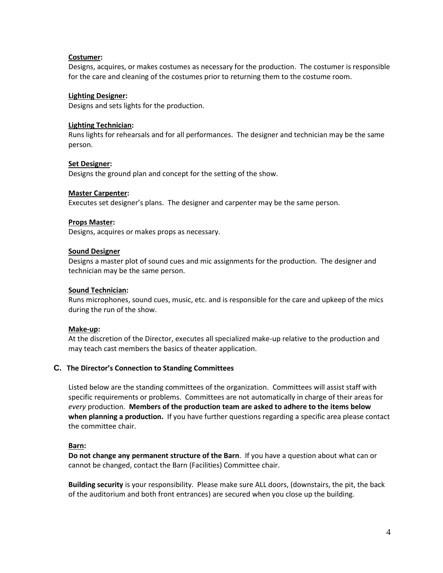# **Costumer:**

Designs, acquires, or makes costumes as necessary for the production. The costumer is responsible for the care and cleaning of the costumes prior to returning them to the costume room.

#### **Lighting Designer:**

Designs and sets lights for the production.

#### **Lighting Technician:**

Runs lights for rehearsals and for all performances. The designer and technician may be the same person.

#### **Set Designer:**

Designs the ground plan and concept for the setting of the show.

#### **Master Carpenter:**

Executes set designer's plans. The designer and carpenter may be the same person.

#### **Props Master:**

Designs, acquires or makes props as necessary.

#### **Sound Designer**

Designs a master plot of sound cues and mic assignments for the production. The designer and technician may be the same person.

### **Sound Technician:**

Runs microphones, sound cues, music, etc. and is responsible for the care and upkeep of the mics during the run of the show.

#### **Make-up:**

At the discretion of the Director, executes all specialized make-up relative to the production and may teach cast members the basics of theater application.

# **C. The Director's Connection to Standing Committees**

Listed below are the standing committees of the organization. Committees will assist staff with specific requirements or problems. Committees are not automatically in charge of their areas for *every* production. **Members of the production team are asked to adhere to the items below when planning a production.** If you have further questions regarding a specific area please contact the committee chair.

#### **Barn:**

**Do not change any permanent structure of the Barn**. If you have a question about what can or cannot be changed, contact the Barn (Facilities) Committee chair.

**Building security** is your responsibility. Please make sure ALL doors, (downstairs, the pit, the back of the auditorium and both front entrances) are secured when you close up the building.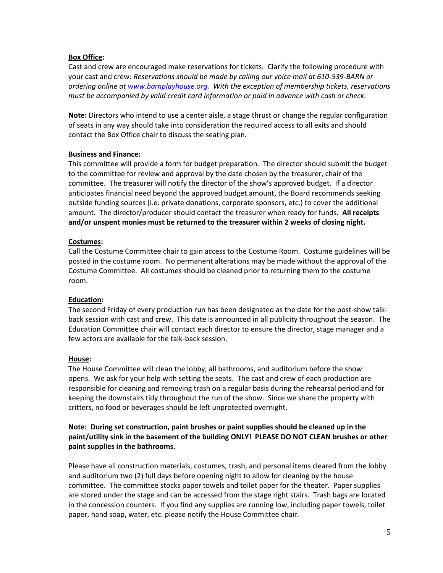# **Box Office:**

Cast and crew are encouraged make reservations for tickets. Clarify the following procedure with your cast and crew: *Reservations should be made by calling our voice mail at 610-539-BARN or ordering online a[t www.barnplayhouse.org.](http://www.barnplayhouse.org/) With the exception of membership tickets, reservations must be accompanied by valid credit card information or paid in advance with cash or check.*

**Note:** Directors who intend to use a center aisle, a stage thrust or change the regular configuration of seats in any way should take into consideration the required access to all exits and should contact the Box Office chair to discuss the seating plan.

# **Business and Finance:**

This committee will provide a form for budget preparation. The director should submit the budget to the committee for review and approval by the date chosen by the treasurer, chair of the committee. The treasurer will notify the director of the show's approved budget. If a director anticipates financial need beyond the approved budget amount, the Board recommends seeking outside funding sources (i.e. private donations, corporate sponsors, etc.) to cover the additional amount. The director/producer should contact the treasurer when ready for funds. **All receipts and/or unspent monies must be returned to the treasurer within 2 weeks of closing night.**

# **Costumes:**

Call the Costume Committee chair to gain access to the Costume Room. Costume guidelines will be posted in the costume room. No permanent alterations may be made without the approval of the Costume Committee. All costumes should be cleaned prior to returning them to the costume room.

# **Education:**

The second Friday of every production run has been designated as the date for the post-show talkback session with cast and crew. This date is announced in all publicity throughout the season. The Education Committee chair will contact each director to ensure the director, stage manager and a few actors are available for the talk-back session.

# **House:**

The House Committee will clean the lobby, all bathrooms, and auditorium before the show opens. We ask for your help with setting the seats. The cast and crew of each production are responsible for cleaning and removing trash on a regular basis during the rehearsal period and for keeping the downstairs tidy throughout the run of the show. Since we share the property with critters, no food or beverages should be left unprotected overnight.

# **Note: During set construction, paint brushes or paint supplies should be cleaned up in the paint/utility sink in the basement of the building ONLY! PLEASE DO NOT CLEAN brushes or other paint supplies in the bathrooms.**

Please have all construction materials, costumes, trash, and personal items cleared from the lobby and auditorium two (2) full days before opening night to allow for cleaning by the house committee. The committee stocks paper towels and toilet paper for the theater. Paper supplies are stored under the stage and can be accessed from the stage right stairs. Trash bags are located in the concession counters. If you find any supplies are running low, including paper towels, toilet paper, hand soap, water, etc. please notify the House Committee chair.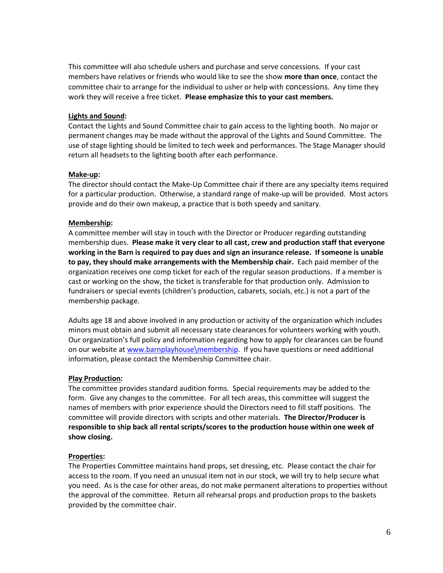This committee will also schedule ushers and purchase and serve concessions. If your cast members have relatives or friends who would like to see the show **more than once**, contact the committee chair to arrange for the individual to usher or help with concessions. Any time they work they will receive a free ticket. **Please emphasize this to your cast members.**

### **Lights and Sound:**

Contact the Lights and Sound Committee chair to gain access to the lighting booth. No major or permanent changes may be made without the approval of the Lights and Sound Committee. The use of stage lighting should be limited to tech week and performances. The Stage Manager should return all headsets to the lighting booth after each performance.

#### **Make-up:**

The director should contact the Make-Up Committee chair if there are any specialty items required for a particular production. Otherwise, a standard range of make-up will be provided. Most actors provide and do their own makeup, a practice that is both speedy and sanitary.

# **Membership:**

A committee member will stay in touch with the Director or Producer regarding outstanding membership dues. **Please make it very clear to all cast, crew and production staff that everyone working in the Barn is required to pay dues and sign an insurance release. If someone is unable to pay, they should make arrangements with the Membership chair.** Each paid member of the organization receives one comp ticket for each of the regular season productions. If a member is cast or working on the show, the ticket is transferable for that production only. Admission to fundraisers or special events (children's production, cabarets, socials, etc.) is not a part of the membership package.

Adults age 18 and above involved in any production or activity of the organization which includes minors must obtain and submit all necessary state clearances for volunteers working with youth. Our organization's full policy and information regarding how to apply for clearances can be found on our website a[t www.barnplayhouse\membership.](http://www.barnplayhouse/membership) If you have questions or need additional information, please contact the Membership Committee chair.

#### **Play Production:**

The committee provides standard audition forms. Special requirements may be added to the form. Give any changes to the committee. For all tech areas, this committee will suggest the names of members with prior experience should the Directors need to fill staff positions. The committee will provide directors with scripts and other materials. **The Director/Producer is responsible to ship back all rental scripts/scores to the production house within one week of show closing.**

#### **Properties:**

The Properties Committee maintains hand props, set dressing, etc. Please contact the chair for access to the room. If you need an unusual item not in our stock, we will try to help secure what you need. As is the case for other areas, do not make permanent alterations to properties without the approval of the committee. Return all rehearsal props and production props to the baskets provided by the committee chair.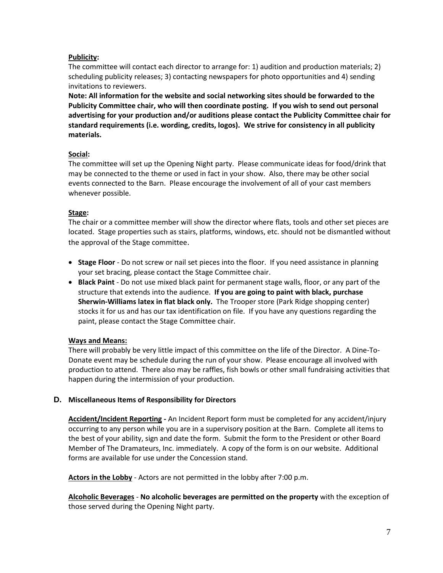# **Publicity:**

The committee will contact each director to arrange for: 1) audition and production materials; 2) scheduling publicity releases; 3) contacting newspapers for photo opportunities and 4) sending invitations to reviewers.

**Note: All information for the website and social networking sites should be forwarded to the Publicity Committee chair, who will then coordinate posting. If you wish to send out personal advertising for your production and/or auditions please contact the Publicity Committee chair for standard requirements (i.e. wording, credits, logos). We strive for consistency in all publicity materials.**

# **Social:**

The committee will set up the Opening Night party. Please communicate ideas for food/drink that may be connected to the theme or used in fact in your show. Also, there may be other social events connected to the Barn. Please encourage the involvement of all of your cast members whenever possible.

# **Stage:**

The chair or a committee member will show the director where flats, tools and other set pieces are located. Stage properties such as stairs, platforms, windows, etc. should not be dismantled without the approval of the Stage committee.

- **Stage Floor** Do not screw or nail set pieces into the floor. If you need assistance in planning your set bracing, please contact the Stage Committee chair.
- **Black Paint** Do not use mixed black paint for permanent stage walls, floor, or any part of the structure that extends into the audience. **If you are going to paint with black, purchase Sherwin-Williams latex in flat black only.** The Trooper store (Park Ridge shopping center) stocks it for us and has our tax identification on file. If you have any questions regarding the paint, please contact the Stage Committee chair.

# **Ways and Means:**

There will probably be very little impact of this committee on the life of the Director. A Dine-To-Donate event may be schedule during the run of your show. Please encourage all involved with production to attend. There also may be raffles, fish bowls or other small fundraising activities that happen during the intermission of your production.

# **D. Miscellaneous Items of Responsibility for Directors**

**Accident/Incident Reporting -** An Incident Report form must be completed for any accident/injury occurring to any person while you are in a supervisory position at the Barn.Complete all items to the best of your ability, sign and date the form. Submit the form to the President or other Board Member of The Dramateurs, Inc. immediately. A copy of the form is on our website. Additional forms are available for use under the Concession stand.

**Actors in the Lobby** - Actors are not permitted in the lobby after 7:00 p.m.

**Alcoholic Beverages** - **No alcoholic beverages are permitted on the property** with the exception of those served during the Opening Night party.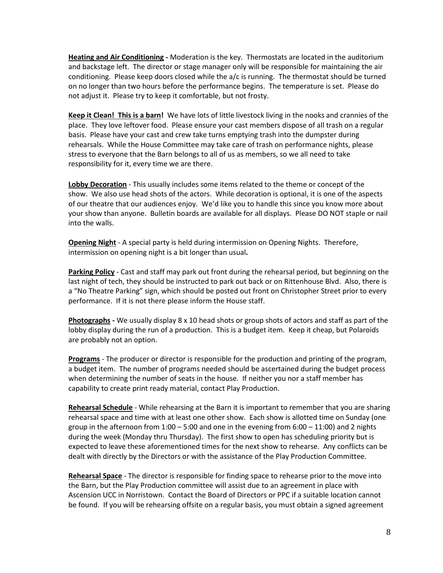**Heating and Air Conditioning -** Moderation is the key. Thermostats are located in the auditorium and backstage left. The director or stage manager only will be responsible for maintaining the air conditioning. Please keep doors closed while the a/c is running. The thermostat should be turned on no longer than two hours before the performance begins. The temperature is set. Please do not adjust it. Please try to keep it comfortable, but not frosty.

**Keep it Clean! This is a barn!** We have lots of little livestock living in the nooks and crannies of the place. They love leftover food. Please ensure your cast members dispose of all trash on a regular basis. Please have your cast and crew take turns emptying trash into the dumpster during rehearsals. While the House Committee may take care of trash on performance nights, please stress to everyone that the Barn belongs to all of us as members, so we all need to take responsibility for it, every time we are there.

**Lobby Decoration** - This usually includes some items related to the theme or concept of the show. We also use head shots of the actors. While decoration is optional, it is one of the aspects of our theatre that our audiences enjoy. We'd like you to handle this since you know more about your show than anyone. Bulletin boards are available for all displays. Please DO NOT staple or nail into the walls.

**Opening Night** - A special party is held during intermission on Opening Nights. Therefore, intermission on opening night is a bit longer than usual**.**

**Parking Policy** - Cast and staff may park out front during the rehearsal period, but beginning on the last night of tech, they should be instructed to park out back or on Rittenhouse Blvd. Also, there is a "No Theatre Parking" sign, which should be posted out front on Christopher Street prior to every performance. If it is not there please inform the House staff.

**Photographs -** We usually display 8 x 10 head shots or group shots of actors and staff as part of the lobby display during the run of a production. This is a budget item. Keep it cheap, but Polaroids are probably not an option.

**Programs** - The producer or director is responsible for the production and printing of the program, a budget item. The number of programs needed should be ascertained during the budget process when determining the number of seats in the house. If neither you nor a staff member has capability to create print ready material, contact Play Production.

**Rehearsal Schedule** - While rehearsing at the Barn it is important to remember that you are sharing rehearsal space and time with at least one other show. Each show is allotted time on Sunday (one group in the afternoon from  $1:00 - 5:00$  and one in the evening from  $6:00 - 11:00$ ) and 2 nights during the week (Monday thru Thursday). The first show to open has scheduling priority but is expected to leave these aforementioned times for the next show to rehearse. Any conflicts can be dealt with directly by the Directors or with the assistance of the Play Production Committee.

**Rehearsal Space** - The director is responsible for finding space to rehearse prior to the move into the Barn, but the Play Production committee will assist due to an agreement in place with Ascension UCC in Norristown. Contact the Board of Directors or PPC if a suitable location cannot be found. If you will be rehearsing offsite on a regular basis, you must obtain a signed agreement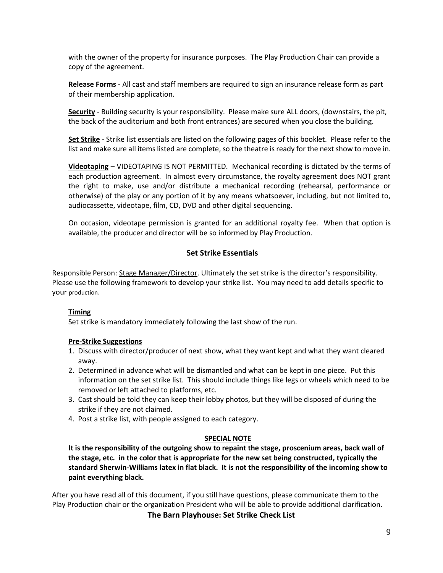with the owner of the property for insurance purposes. The Play Production Chair can provide a copy of the agreement.

**Release Forms** - All cast and staff members are required to sign an insurance release form as part of their membership application.

**Security** - Building security is your responsibility. Please make sure ALL doors, (downstairs, the pit, the back of the auditorium and both front entrances) are secured when you close the building.

**Set Strike** - Strike list essentials are listed on the following pages of this booklet. Please refer to the list and make sure all items listed are complete, so the theatre is ready for the next show to move in.

**Videotaping** – VIDEOTAPING IS NOT PERMITTED. Mechanical recording is dictated by the terms of each production agreement. In almost every circumstance, the royalty agreement does NOT grant the right to make, use and/or distribute a mechanical recording (rehearsal, performance or otherwise) of the play or any portion of it by any means whatsoever, including, but not limited to, audiocassette, videotape, film, CD, DVD and other digital sequencing.

On occasion, videotape permission is granted for an additional royalty fee. When that option is available, the producer and director will be so informed by Play Production.

# **Set Strike Essentials**

Responsible Person: Stage Manager/Director. Ultimately the set strike is the director's responsibility. Please use the following framework to develop your strike list. You may need to add details specific to your production.

# **Timing**

Set strike is mandatory immediately following the last show of the run.

# **Pre-Strike Suggestions**

- 1. Discuss with director/producer of next show, what they want kept and what they want cleared away.
- 2. Determined in advance what will be dismantled and what can be kept in one piece. Put this information on the set strike list. This should include things like legs or wheels which need to be removed or left attached to platforms, etc.
- 3. Cast should be told they can keep their lobby photos, but they will be disposed of during the strike if they are not claimed.
- 4. Post a strike list, with people assigned to each category.

#### **SPECIAL NOTE**

**It is the responsibility of the outgoing show to repaint the stage, proscenium areas, back wall of the stage, etc. in the color that is appropriate for the new set being constructed, typically the standard Sherwin-Williams latex in flat black. It is not the responsibility of the incoming show to paint everything black.**

After you have read all of this document, if you still have questions, please communicate them to the Play Production chair or the organization President who will be able to provide additional clarification.

**The Barn Playhouse: Set Strike Check List**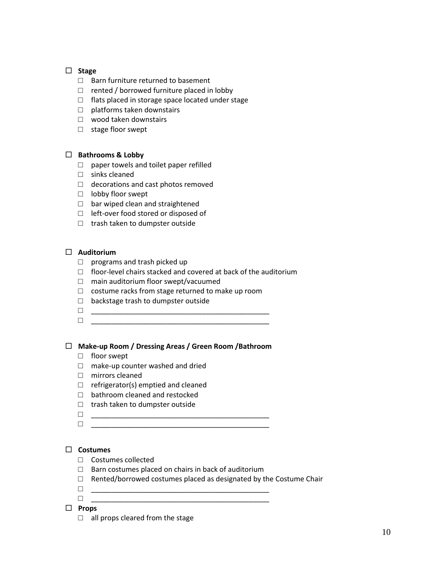# **Stage**

- □ Barn furniture returned to basement
- $\Box$  rented / borrowed furniture placed in lobby
- □ flats placed in storage space located under stage
- $\Box$  platforms taken downstairs
- □ wood taken downstairs
- □ stage floor swept

# **Bathrooms & Lobby**

- □ paper towels and toilet paper refilled
- □ sinks cleaned
- □ decorations and cast photos removed
- □ lobby floor swept
- $\Box$  bar wiped clean and straightened
- □ left-over food stored or disposed of
- □ trash taken to dumpster outside

# **Auditorium**

- □ programs and trash picked up
- $\Box$  floor-level chairs stacked and covered at back of the auditorium
- □ main auditorium floor swept/vacuumed
- $\Box$  costume racks from stage returned to make up room
- □ backstage trash to dumpster outside
- □ \_\_\_\_\_\_\_\_\_\_\_\_\_\_\_\_\_\_\_\_\_\_\_\_\_\_\_\_\_\_\_\_\_\_\_\_\_\_\_\_\_\_\_\_\_
- □ \_\_\_\_\_\_\_\_\_\_\_\_\_\_\_\_\_\_\_\_\_\_\_\_\_\_\_\_\_\_\_\_\_\_\_\_\_\_\_\_\_\_\_\_\_

# **Make-up Room / Dressing Areas / Green Room /Bathroom**

- □ floor swept
- $\square$  make-up counter washed and dried
- □ mirrors cleaned
- $\Box$  refrigerator(s) emptied and cleaned
- □ bathroom cleaned and restocked
- □ trash taken to dumpster outside
- 
- □ \_\_\_\_\_\_\_\_\_\_\_\_\_\_\_\_\_\_\_\_\_\_\_\_\_\_\_\_\_\_\_\_\_\_\_\_\_\_\_\_\_\_\_\_\_ □ \_\_\_\_\_\_\_\_\_\_\_\_\_\_\_\_\_\_\_\_\_\_\_\_\_\_\_\_\_\_\_\_\_\_\_\_\_\_\_\_\_\_\_\_\_

# **Costumes**

- □ Costumes collected
- □ Barn costumes placed on chairs in back of auditorium
- $\Box$  Rented/borrowed costumes placed as designated by the Costume Chair
- □ \_\_\_\_\_\_\_\_\_\_\_\_\_\_\_\_\_\_\_\_\_\_\_\_\_\_\_\_\_\_\_\_\_\_\_\_\_\_\_\_\_\_\_\_\_
- □ \_\_\_\_\_\_\_\_\_\_\_\_\_\_\_\_\_\_\_\_\_\_\_\_\_\_\_\_\_\_\_\_\_\_\_\_\_\_\_\_\_\_\_\_\_
- **Props**
	- $\Box$  all props cleared from the stage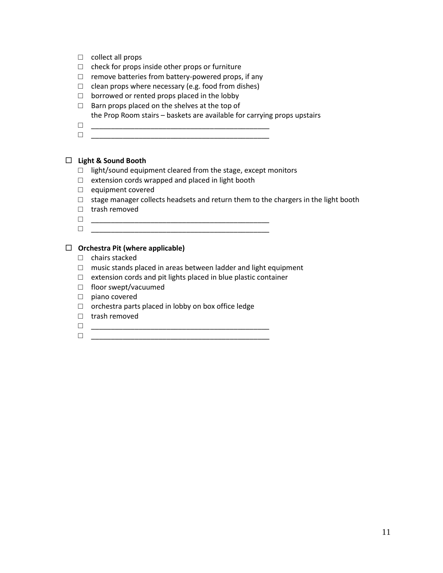- □ collect all props
- $\Box$  check for props inside other props or furniture
- $\square$  remove batteries from battery-powered props, if any
- $\Box$  clean props where necessary (e.g. food from dishes)
- □ borrowed or rented props placed in the lobby
- $\Box$  Barn props placed on the shelves at the top of the Prop Room stairs – baskets are available for carrying props upstairs
- □ \_\_\_\_\_\_\_\_\_\_\_\_\_\_\_\_\_\_\_\_\_\_\_\_\_\_\_\_\_\_\_\_\_\_\_\_\_\_\_\_\_\_\_\_\_ □ \_\_\_\_\_\_\_\_\_\_\_\_\_\_\_\_\_\_\_\_\_\_\_\_\_\_\_\_\_\_\_\_\_\_\_\_\_\_\_\_\_\_\_\_\_

# **Light & Sound Booth**

- □ light/sound equipment cleared from the stage, except monitors
- □ extension cords wrapped and placed in light booth
- □ equipment covered
- $\Box$  stage manager collects headsets and return them to the chargers in the light booth
- □ trash removed
- □ \_\_\_\_\_\_\_\_\_\_\_\_\_\_\_\_\_\_\_\_\_\_\_\_\_\_\_\_\_\_\_\_\_\_\_\_\_\_\_\_\_\_\_\_\_
- □ \_\_\_\_\_\_\_\_\_\_\_\_\_\_\_\_\_\_\_\_\_\_\_\_\_\_\_\_\_\_\_\_\_\_\_\_\_\_\_\_\_\_\_\_\_

# **Orchestra Pit (where applicable)**

- □ chairs stacked
- □ music stands placed in areas between ladder and light equipment
- $\Box$  extension cords and pit lights placed in blue plastic container
- □ floor swept/vacuumed
- □ piano covered
- □ orchestra parts placed in lobby on box office ledge
- □ trash removed
- □ \_\_\_\_\_\_\_\_\_\_\_\_\_\_\_\_\_\_\_\_\_\_\_\_\_\_\_\_\_\_\_\_\_\_\_\_\_\_\_\_\_\_\_\_\_
- □ \_\_\_\_\_\_\_\_\_\_\_\_\_\_\_\_\_\_\_\_\_\_\_\_\_\_\_\_\_\_\_\_\_\_\_\_\_\_\_\_\_\_\_\_\_